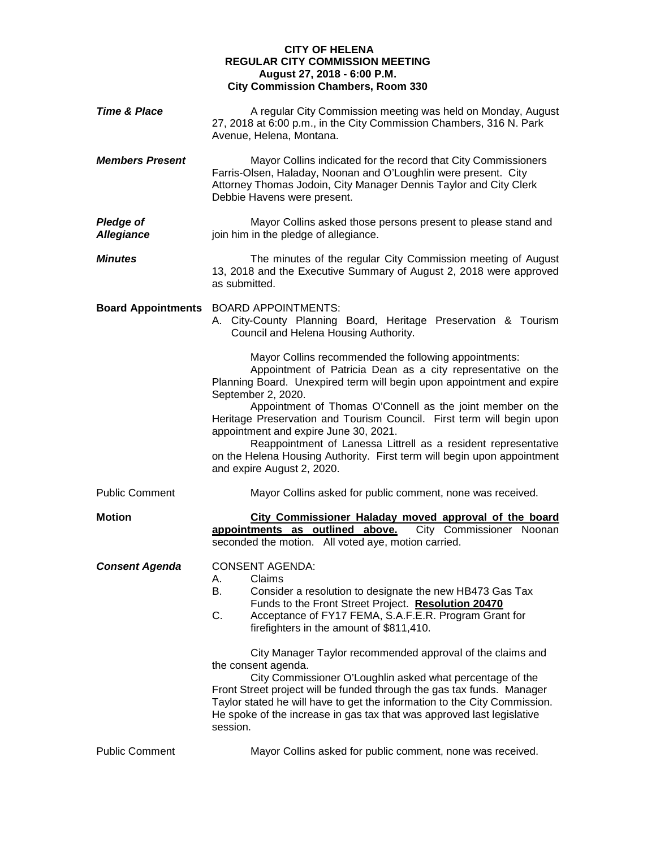## **CITY OF HELENA REGULAR CITY COMMISSION MEETING August 27, 2018 - 6:00 P.M. City Commission Chambers, Room 330**

| <b>Time &amp; Place</b>               | A regular City Commission meeting was held on Monday, August<br>27, 2018 at 6:00 p.m., in the City Commission Chambers, 316 N. Park<br>Avenue, Helena, Montana.                                                                                                                                                                                                                                                                                                                                                                                                                                                                                                        |
|---------------------------------------|------------------------------------------------------------------------------------------------------------------------------------------------------------------------------------------------------------------------------------------------------------------------------------------------------------------------------------------------------------------------------------------------------------------------------------------------------------------------------------------------------------------------------------------------------------------------------------------------------------------------------------------------------------------------|
| <b>Members Present</b>                | Mayor Collins indicated for the record that City Commissioners<br>Farris-Olsen, Haladay, Noonan and O'Loughlin were present. City<br>Attorney Thomas Jodoin, City Manager Dennis Taylor and City Clerk<br>Debbie Havens were present.                                                                                                                                                                                                                                                                                                                                                                                                                                  |
| <b>Pledge of</b><br><b>Allegiance</b> | Mayor Collins asked those persons present to please stand and<br>join him in the pledge of allegiance.                                                                                                                                                                                                                                                                                                                                                                                                                                                                                                                                                                 |
| <b>Minutes</b>                        | The minutes of the regular City Commission meeting of August<br>13, 2018 and the Executive Summary of August 2, 2018 were approved<br>as submitted.                                                                                                                                                                                                                                                                                                                                                                                                                                                                                                                    |
| <b>Board Appointments</b>             | <b>BOARD APPOINTMENTS:</b><br>A. City-County Planning Board, Heritage Preservation & Tourism<br>Council and Helena Housing Authority.                                                                                                                                                                                                                                                                                                                                                                                                                                                                                                                                  |
|                                       | Mayor Collins recommended the following appointments:<br>Appointment of Patricia Dean as a city representative on the<br>Planning Board. Unexpired term will begin upon appointment and expire<br>September 2, 2020.<br>Appointment of Thomas O'Connell as the joint member on the<br>Heritage Preservation and Tourism Council. First term will begin upon<br>appointment and expire June 30, 2021.<br>Reappointment of Lanessa Littrell as a resident representative<br>on the Helena Housing Authority. First term will begin upon appointment<br>and expire August 2, 2020.                                                                                        |
| <b>Public Comment</b>                 | Mayor Collins asked for public comment, none was received.                                                                                                                                                                                                                                                                                                                                                                                                                                                                                                                                                                                                             |
| <b>Motion</b>                         | City Commissioner Haladay moved approval of the board<br>appointments as outlined above.<br>City Commissioner Noonan<br>seconded the motion. All voted aye, motion carried.                                                                                                                                                                                                                                                                                                                                                                                                                                                                                            |
| <b>Consent Agenda</b>                 | <b>CONSENT AGENDA:</b><br>A. Claims<br>В.<br>Consider a resolution to designate the new HB473 Gas Tax<br>Funds to the Front Street Project. Resolution 20470<br>C.<br>Acceptance of FY17 FEMA, S.A.F.E.R. Program Grant for<br>firefighters in the amount of \$811,410.<br>City Manager Taylor recommended approval of the claims and<br>the consent agenda.<br>City Commissioner O'Loughlin asked what percentage of the<br>Front Street project will be funded through the gas tax funds. Manager<br>Taylor stated he will have to get the information to the City Commission.<br>He spoke of the increase in gas tax that was approved last legislative<br>session. |
| <b>Public Comment</b>                 | Mayor Collins asked for public comment, none was received.                                                                                                                                                                                                                                                                                                                                                                                                                                                                                                                                                                                                             |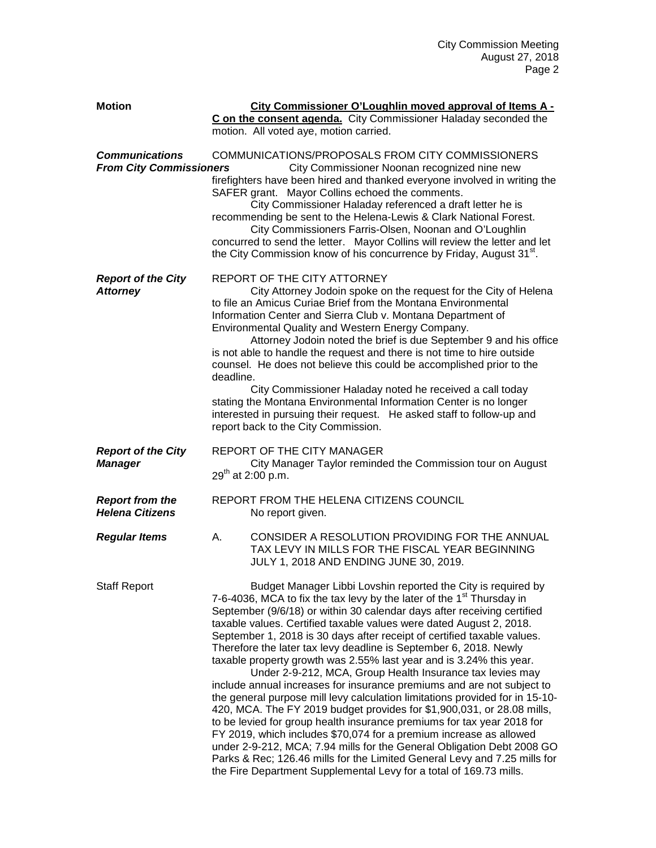| <b>Motion</b>                                           | City Commissioner O'Loughlin moved approval of Items A -<br>C on the consent agenda. City Commissioner Haladay seconded the<br>motion. All voted aye, motion carried.                                                                                                                                                                                                                                                                                                                                                                                                                                                                                                                                                                                                                                                                                                                                                                                                                                                                                                                                                                                                                                     |
|---------------------------------------------------------|-----------------------------------------------------------------------------------------------------------------------------------------------------------------------------------------------------------------------------------------------------------------------------------------------------------------------------------------------------------------------------------------------------------------------------------------------------------------------------------------------------------------------------------------------------------------------------------------------------------------------------------------------------------------------------------------------------------------------------------------------------------------------------------------------------------------------------------------------------------------------------------------------------------------------------------------------------------------------------------------------------------------------------------------------------------------------------------------------------------------------------------------------------------------------------------------------------------|
| <b>Communications</b><br><b>From City Commissioners</b> | COMMUNICATIONS/PROPOSALS FROM CITY COMMISSIONERS<br>City Commissioner Noonan recognized nine new<br>firefighters have been hired and thanked everyone involved in writing the<br>SAFER grant. Mayor Collins echoed the comments.<br>City Commissioner Haladay referenced a draft letter he is<br>recommending be sent to the Helena-Lewis & Clark National Forest.<br>City Commissioners Farris-Olsen, Noonan and O'Loughlin<br>concurred to send the letter. Mayor Collins will review the letter and let<br>the City Commission know of his concurrence by Friday, August 31 <sup>st</sup> .                                                                                                                                                                                                                                                                                                                                                                                                                                                                                                                                                                                                            |
| <b>Report of the City</b><br><b>Attorney</b>            | REPORT OF THE CITY ATTORNEY<br>City Attorney Jodoin spoke on the request for the City of Helena<br>to file an Amicus Curiae Brief from the Montana Environmental<br>Information Center and Sierra Club v. Montana Department of<br>Environmental Quality and Western Energy Company.<br>Attorney Jodoin noted the brief is due September 9 and his office<br>is not able to handle the request and there is not time to hire outside<br>counsel. He does not believe this could be accomplished prior to the<br>deadline.<br>City Commissioner Haladay noted he received a call today<br>stating the Montana Environmental Information Center is no longer<br>interested in pursuing their request. He asked staff to follow-up and<br>report back to the City Commission.                                                                                                                                                                                                                                                                                                                                                                                                                                |
| <b>Report of the City</b><br><b>Manager</b>             | REPORT OF THE CITY MANAGER<br>City Manager Taylor reminded the Commission tour on August<br>$29^{th}$ at 2:00 p.m.                                                                                                                                                                                                                                                                                                                                                                                                                                                                                                                                                                                                                                                                                                                                                                                                                                                                                                                                                                                                                                                                                        |
| <b>Report from the</b><br><b>Helena Citizens</b>        | REPORT FROM THE HELENA CITIZENS COUNCIL<br>No report given.                                                                                                                                                                                                                                                                                                                                                                                                                                                                                                                                                                                                                                                                                                                                                                                                                                                                                                                                                                                                                                                                                                                                               |
| <b>Regular Items</b>                                    | CONSIDER A RESOLUTION PROVIDING FOR THE ANNUAL<br>А.<br>TAX LEVY IN MILLS FOR THE FISCAL YEAR BEGINNING<br>JULY 1, 2018 AND ENDING JUNE 30, 2019.                                                                                                                                                                                                                                                                                                                                                                                                                                                                                                                                                                                                                                                                                                                                                                                                                                                                                                                                                                                                                                                         |
| <b>Staff Report</b>                                     | Budget Manager Libbi Lovshin reported the City is required by<br>7-6-4036, MCA to fix the tax levy by the later of the 1 <sup>st</sup> Thursday in<br>September (9/6/18) or within 30 calendar days after receiving certified<br>taxable values. Certified taxable values were dated August 2, 2018.<br>September 1, 2018 is 30 days after receipt of certified taxable values.<br>Therefore the later tax levy deadline is September 6, 2018. Newly<br>taxable property growth was 2.55% last year and is 3.24% this year.<br>Under 2-9-212, MCA, Group Health Insurance tax levies may<br>include annual increases for insurance premiums and are not subject to<br>the general purpose mill levy calculation limitations provided for in 15-10-<br>420, MCA. The FY 2019 budget provides for \$1,900,031, or 28.08 mills,<br>to be levied for group health insurance premiums for tax year 2018 for<br>FY 2019, which includes \$70,074 for a premium increase as allowed<br>under 2-9-212, MCA; 7.94 mills for the General Obligation Debt 2008 GO<br>Parks & Rec; 126.46 mills for the Limited General Levy and 7.25 mills for<br>the Fire Department Supplemental Levy for a total of 169.73 mills. |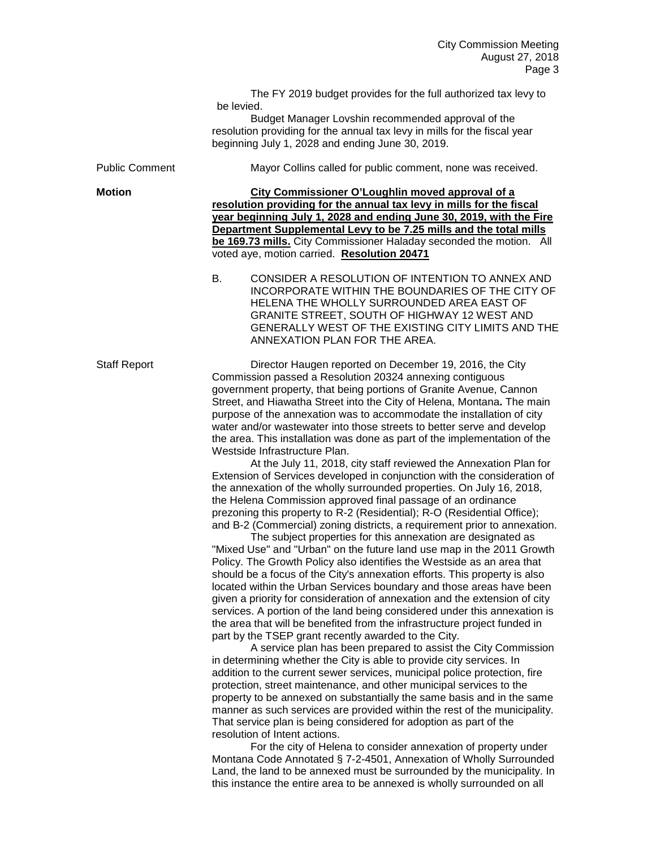The FY 2019 budget provides for the full authorized tax levy to be levied. Budget Manager Lovshin recommended approval of the resolution providing for the annual tax levy in mills for the fiscal year beginning July 1, 2028 and ending June 30, 2019. Public Comment Mayor Collins called for public comment, none was received. **Motion City Commissioner O'Loughlin moved approval of a resolution providing for the annual tax levy in mills for the fiscal year beginning July 1, 2028 and ending June 30, 2019, with the Fire Department Supplemental Levy to be 7.25 mills and the total mills be 169.73 mills.** City Commissioner Haladay seconded the motion. All voted aye, motion carried. **Resolution 20471** B. CONSIDER A RESOLUTION OF INTENTION TO ANNEX AND INCORPORATE WITHIN THE BOUNDARIES OF THE CITY OF HELENA THE WHOLLY SURROUNDED AREA EAST OF GRANITE STREET, SOUTH OF HIGHWAY 12 WEST AND GENERALLY WEST OF THE EXISTING CITY LIMITS AND THE ANNEXATION PLAN FOR THE AREA. Staff Report Director Haugen reported on December 19, 2016, the City Commission passed a Resolution 20324 annexing contiguous government property, that being portions of Granite Avenue, Cannon Street, and Hiawatha Street into the City of Helena, Montana**.** The main purpose of the annexation was to accommodate the installation of city water and/or wastewater into those streets to better serve and develop the area. This installation was done as part of the implementation of the Westside Infrastructure Plan. At the July 11, 2018, city staff reviewed the Annexation Plan for Extension of Services developed in conjunction with the consideration of the annexation of the wholly surrounded properties. On July 16, 2018, the Helena Commission approved final passage of an ordinance prezoning this property to R-2 (Residential); R-O (Residential Office); and B-2 (Commercial) zoning districts, a requirement prior to annexation. The subject properties for this annexation are designated as "Mixed Use" and "Urban" on the future land use map in the 2011 Growth Policy. The Growth Policy also identifies the Westside as an area that should be a focus of the City's annexation efforts. This property is also located within the Urban Services boundary and those areas have been given a priority for consideration of annexation and the extension of city services. A portion of the land being considered under this annexation is the area that will be benefited from the infrastructure project funded in part by the TSEP grant recently awarded to the City. A service plan has been prepared to assist the City Commission in determining whether the City is able to provide city services. In addition to the current sewer services, municipal police protection, fire protection, street maintenance, and other municipal services to the property to be annexed on substantially the same basis and in the same manner as such services are provided within the rest of the municipality. That service plan is being considered for adoption as part of the resolution of Intent actions. For the city of Helena to consider annexation of property under

Montana Code Annotated § 7-2-4501, Annexation of Wholly Surrounded Land, the land to be annexed must be surrounded by the municipality. In this instance the entire area to be annexed is wholly surrounded on all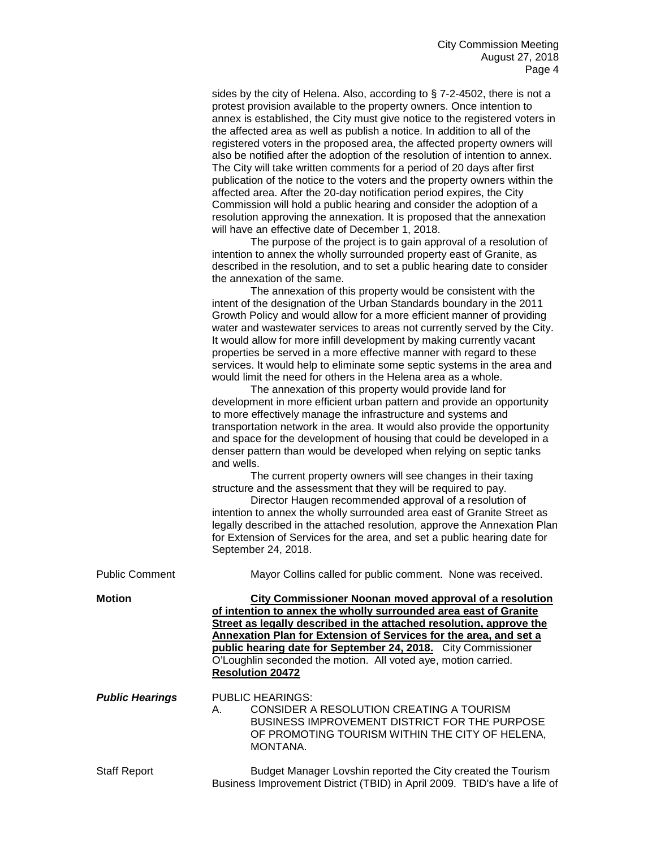sides by the city of Helena. Also, according to § 7-2-4502, there is not a protest provision available to the property owners. Once intention to annex is established, the City must give notice to the registered voters in the affected area as well as publish a notice. In addition to all of the registered voters in the proposed area, the affected property owners will also be notified after the adoption of the resolution of intention to annex. The City will take written comments for a period of 20 days after first publication of the notice to the voters and the property owners within the affected area. After the 20-day notification period expires, the City Commission will hold a public hearing and consider the adoption of a resolution approving the annexation. It is proposed that the annexation will have an effective date of December 1, 2018.

The purpose of the project is to gain approval of a resolution of intention to annex the wholly surrounded property east of Granite, as described in the resolution, and to set a public hearing date to consider the annexation of the same.

The annexation of this property would be consistent with the intent of the designation of the Urban Standards boundary in the 2011 Growth Policy and would allow for a more efficient manner of providing water and wastewater services to areas not currently served by the City. It would allow for more infill development by making currently vacant properties be served in a more effective manner with regard to these services. It would help to eliminate some septic systems in the area and would limit the need for others in the Helena area as a whole.

The annexation of this property would provide land for development in more efficient urban pattern and provide an opportunity to more effectively manage the infrastructure and systems and transportation network in the area. It would also provide the opportunity and space for the development of housing that could be developed in a denser pattern than would be developed when relying on septic tanks and wells.

The current property owners will see changes in their taxing structure and the assessment that they will be required to pay.

Director Haugen recommended approval of a resolution of intention to annex the wholly surrounded area east of Granite Street as legally described in the attached resolution, approve the Annexation Plan for Extension of Services for the area, and set a public hearing date for September 24, 2018.

| <b>Public Comment</b>  | Mayor Collins called for public comment. None was received.                                                                                                                                                                                                                                                                                                                                                                           |
|------------------------|---------------------------------------------------------------------------------------------------------------------------------------------------------------------------------------------------------------------------------------------------------------------------------------------------------------------------------------------------------------------------------------------------------------------------------------|
| <b>Motion</b>          | City Commissioner Noonan moved approval of a resolution<br>of intention to annex the wholly surrounded area east of Granite<br>Street as legally described in the attached resolution, approve the<br>Annexation Plan for Extension of Services for the area, and set a<br>public hearing date for September 24, 2018. City Commissioner<br>O'Loughlin seconded the motion. All voted aye, motion carried.<br><b>Resolution 20472</b> |
| <b>Public Hearings</b> | PUBLIC HEARINGS:<br>CONSIDER A RESOLUTION CREATING A TOURISM<br>A.<br><b>BUSINESS IMPROVEMENT DISTRICT FOR THE PURPOSE</b><br>OF PROMOTING TOURISM WITHIN THE CITY OF HELENA,<br>MONTANA.                                                                                                                                                                                                                                             |
| <b>Staff Report</b>    | Budget Manager Lovshin reported the City created the Tourism<br>Business Improvement District (TBID) in April 2009. TBID's have a life of                                                                                                                                                                                                                                                                                             |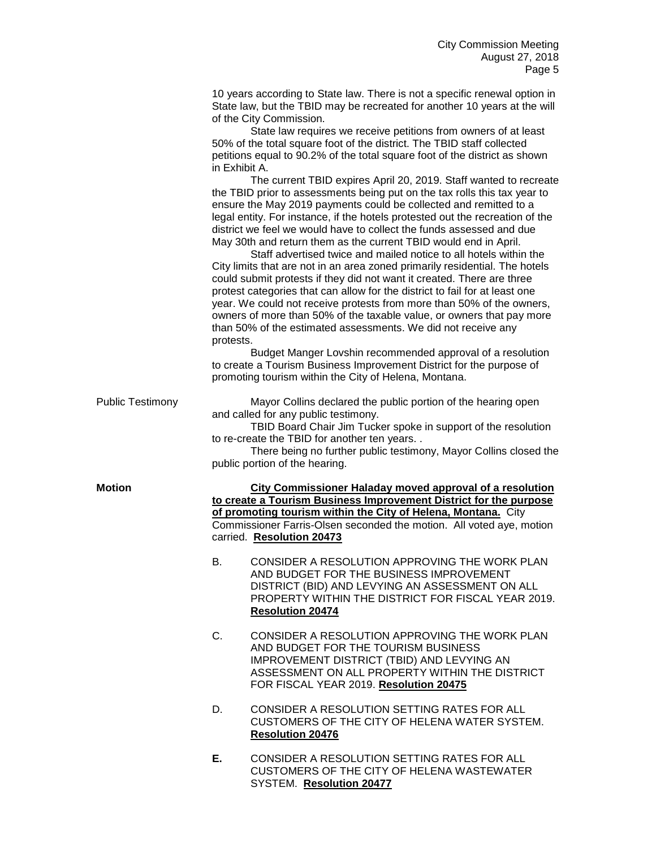10 years according to State law. There is not a specific renewal option in State law, but the TBID may be recreated for another 10 years at the will of the City Commission.

State law requires we receive petitions from owners of at least 50% of the total square foot of the district. The TBID staff collected petitions equal to 90.2% of the total square foot of the district as shown in Exhibit A.

The current TBID expires April 20, 2019. Staff wanted to recreate the TBID prior to assessments being put on the tax rolls this tax year to ensure the May 2019 payments could be collected and remitted to a legal entity. For instance, if the hotels protested out the recreation of the district we feel we would have to collect the funds assessed and due May 30th and return them as the current TBID would end in April.

Staff advertised twice and mailed notice to all hotels within the City limits that are not in an area zoned primarily residential. The hotels could submit protests if they did not want it created. There are three protest categories that can allow for the district to fail for at least one year. We could not receive protests from more than 50% of the owners, owners of more than 50% of the taxable value, or owners that pay more than 50% of the estimated assessments. We did not receive any protests.

Budget Manger Lovshin recommended approval of a resolution to create a Tourism Business Improvement District for the purpose of promoting tourism within the City of Helena, Montana.

Public Testimony Mayor Collins declared the public portion of the hearing open and called for any public testimony.

> TBID Board Chair Jim Tucker spoke in support of the resolution to re-create the TBID for another ten years. .

There being no further public testimony, Mayor Collins closed the public portion of the hearing.

**Motion City Commissioner Haladay moved approval of a resolution to create a Tourism Business Improvement District for the purpose of promoting tourism within the City of Helena, Montana.** City Commissioner Farris-Olsen seconded the motion. All voted aye, motion carried. **Resolution 20473**

- B. CONSIDER A RESOLUTION APPROVING THE WORK PLAN AND BUDGET FOR THE BUSINESS IMPROVEMENT DISTRICT (BID) AND LEVYING AN ASSESSMENT ON ALL PROPERTY WITHIN THE DISTRICT FOR FISCAL YEAR 2019. **Resolution 20474**
- C. CONSIDER A RESOLUTION APPROVING THE WORK PLAN AND BUDGET FOR THE TOURISM BUSINESS IMPROVEMENT DISTRICT (TBID) AND LEVYING AN ASSESSMENT ON ALL PROPERTY WITHIN THE DISTRICT FOR FISCAL YEAR 2019. **Resolution 20475**
- D. CONSIDER A RESOLUTION SETTING RATES FOR ALL CUSTOMERS OF THE CITY OF HELENA WATER SYSTEM. **Resolution 20476**
- **E.** CONSIDER A RESOLUTION SETTING RATES FOR ALL CUSTOMERS OF THE CITY OF HELENA WASTEWATER SYSTEM. **Resolution 20477**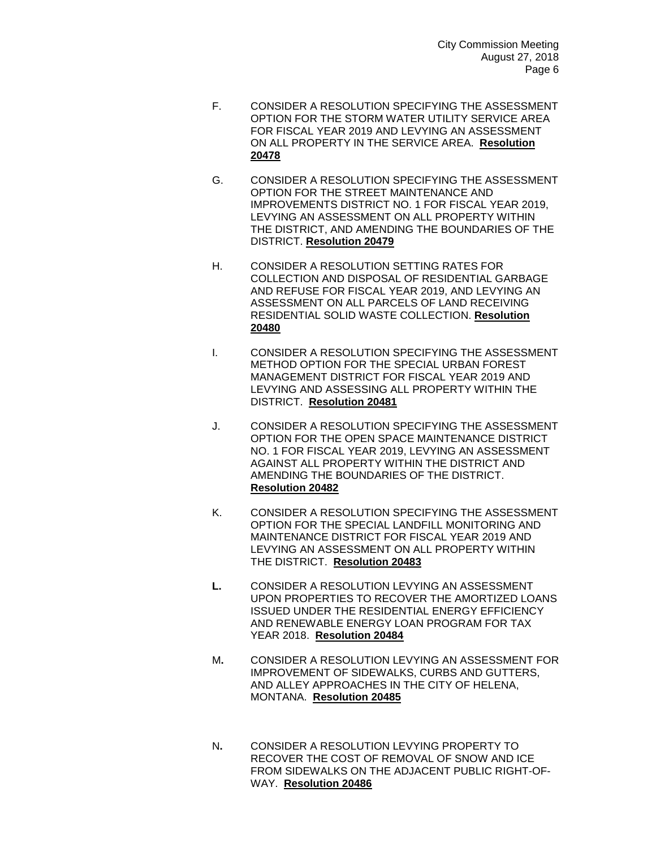- F. CONSIDER A RESOLUTION SPECIFYING THE ASSESSMENT OPTION FOR THE STORM WATER UTILITY SERVICE AREA FOR FISCAL YEAR 2019 AND LEVYING AN ASSESSMENT ON ALL PROPERTY IN THE SERVICE AREA. **Resolution 20478**
- G. CONSIDER A RESOLUTION SPECIFYING THE ASSESSMENT OPTION FOR THE STREET MAINTENANCE AND IMPROVEMENTS DISTRICT NO. 1 FOR FISCAL YEAR 2019, LEVYING AN ASSESSMENT ON ALL PROPERTY WITHIN THE DISTRICT, AND AMENDING THE BOUNDARIES OF THE DISTRICT. **Resolution 20479**
- H. CONSIDER A RESOLUTION SETTING RATES FOR COLLECTION AND DISPOSAL OF RESIDENTIAL GARBAGE AND REFUSE FOR FISCAL YEAR 2019, AND LEVYING AN ASSESSMENT ON ALL PARCELS OF LAND RECEIVING RESIDENTIAL SOLID WASTE COLLECTION. **Resolution 20480**
- I. CONSIDER A RESOLUTION SPECIFYING THE ASSESSMENT METHOD OPTION FOR THE SPECIAL URBAN FOREST MANAGEMENT DISTRICT FOR FISCAL YEAR 2019 AND LEVYING AND ASSESSING ALL PROPERTY WITHIN THE DISTRICT. **Resolution 20481**
- J. CONSIDER A RESOLUTION SPECIFYING THE ASSESSMENT OPTION FOR THE OPEN SPACE MAINTENANCE DISTRICT NO. 1 FOR FISCAL YEAR 2019, LEVYING AN ASSESSMENT AGAINST ALL PROPERTY WITHIN THE DISTRICT AND AMENDING THE BOUNDARIES OF THE DISTRICT. **Resolution 20482**
- K. CONSIDER A RESOLUTION SPECIFYING THE ASSESSMENT OPTION FOR THE SPECIAL LANDFILL MONITORING AND MAINTENANCE DISTRICT FOR FISCAL YEAR 2019 AND LEVYING AN ASSESSMENT ON ALL PROPERTY WITHIN THE DISTRICT. **Resolution 20483**
- **L.** CONSIDER A RESOLUTION LEVYING AN ASSESSMENT UPON PROPERTIES TO RECOVER THE AMORTIZED LOANS ISSUED UNDER THE RESIDENTIAL ENERGY EFFICIENCY AND RENEWABLE ENERGY LOAN PROGRAM FOR TAX YEAR 2018. **Resolution 20484**
- M**.** CONSIDER A RESOLUTION LEVYING AN ASSESSMENT FOR IMPROVEMENT OF SIDEWALKS, CURBS AND GUTTERS, AND ALLEY APPROACHES IN THE CITY OF HELENA, MONTANA. **Resolution 20485**
- N**.** CONSIDER A RESOLUTION LEVYING PROPERTY TO RECOVER THE COST OF REMOVAL OF SNOW AND ICE FROM SIDEWALKS ON THE ADJACENT PUBLIC RIGHT-OF-WAY. **Resolution 20486**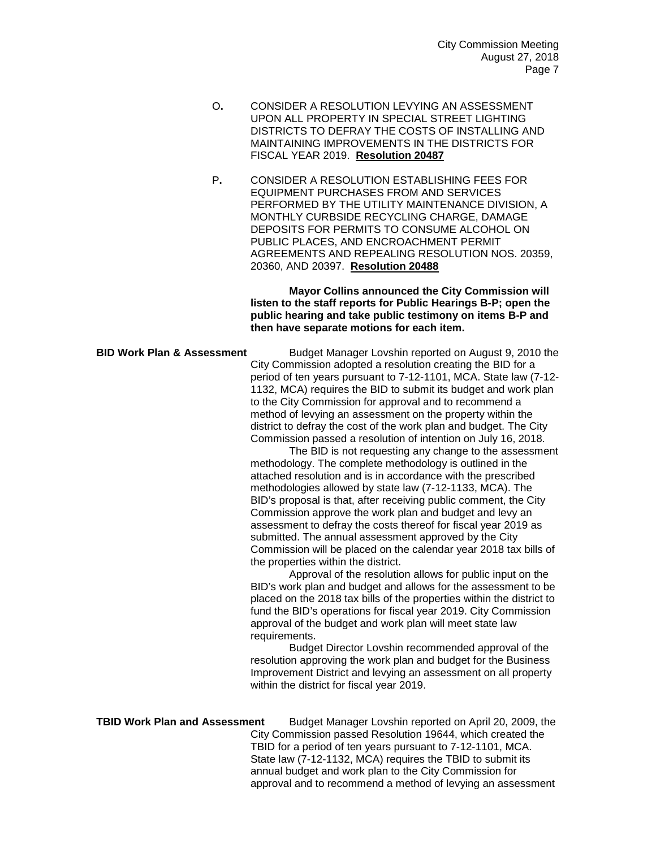- O**.** CONSIDER A RESOLUTION LEVYING AN ASSESSMENT UPON ALL PROPERTY IN SPECIAL STREET LIGHTING DISTRICTS TO DEFRAY THE COSTS OF INSTALLING AND MAINTAINING IMPROVEMENTS IN THE DISTRICTS FOR FISCAL YEAR 2019. **Resolution 20487**
- P**.** CONSIDER A RESOLUTION ESTABLISHING FEES FOR EQUIPMENT PURCHASES FROM AND SERVICES PERFORMED BY THE UTILITY MAINTENANCE DIVISION, A MONTHLY CURBSIDE RECYCLING CHARGE, DAMAGE DEPOSITS FOR PERMITS TO CONSUME ALCOHOL ON PUBLIC PLACES, AND ENCROACHMENT PERMIT AGREEMENTS AND REPEALING RESOLUTION NOS. 20359, 20360, AND 20397. **Resolution 20488**

**Mayor Collins announced the City Commission will listen to the staff reports for Public Hearings B-P; open the public hearing and take public testimony on items B-P and then have separate motions for each item.**

**BID Work Plan & Assessment** Budget Manager Lovshin reported on August 9, 2010 the City Commission adopted a resolution creating the BID for a period of ten years pursuant to 7-12-1101, MCA. State law (7-12- 1132, MCA) requires the BID to submit its budget and work plan to the City Commission for approval and to recommend a method of levying an assessment on the property within the district to defray the cost of the work plan and budget. The City Commission passed a resolution of intention on July 16, 2018.

The BID is not requesting any change to the assessment methodology. The complete methodology is outlined in the attached resolution and is in accordance with the prescribed methodologies allowed by state law (7-12-1133, MCA). The BID's proposal is that, after receiving public comment, the City Commission approve the work plan and budget and levy an assessment to defray the costs thereof for fiscal year 2019 as submitted. The annual assessment approved by the City Commission will be placed on the calendar year 2018 tax bills of the properties within the district.

Approval of the resolution allows for public input on the BID's work plan and budget and allows for the assessment to be placed on the 2018 tax bills of the properties within the district to fund the BID's operations for fiscal year 2019. City Commission approval of the budget and work plan will meet state law requirements.

Budget Director Lovshin recommended approval of the resolution approving the work plan and budget for the Business Improvement District and levying an assessment on all property within the district for fiscal year 2019.

## **TBID Work Plan and Assessment** Budget Manager Lovshin reported on April 20, 2009, the City Commission passed Resolution 19644, which created the TBID for a period of ten years pursuant to 7-12-1101, MCA. State law (7-12-1132, MCA) requires the TBID to submit its annual budget and work plan to the City Commission for approval and to recommend a method of levying an assessment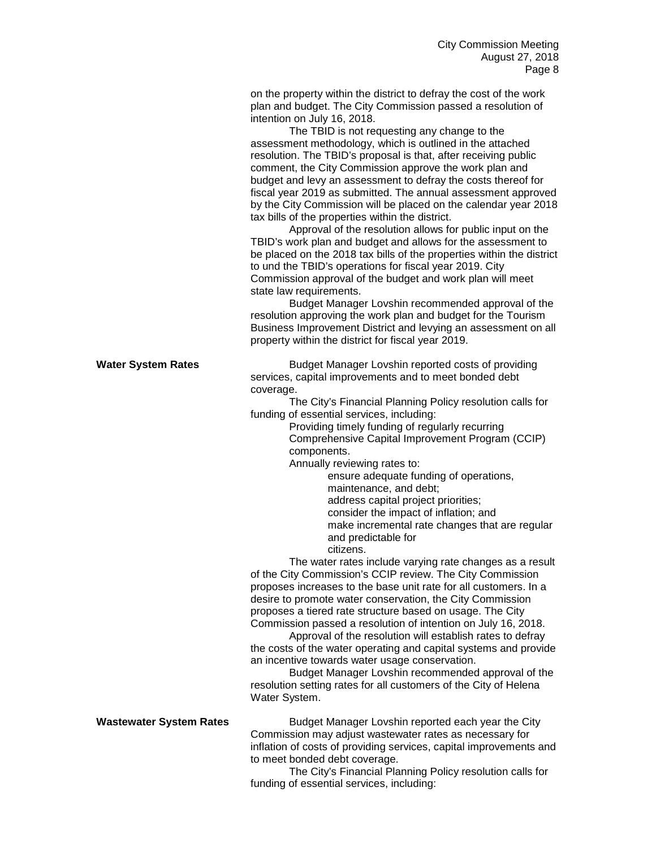on the property within the district to defray the cost of the work plan and budget. The City Commission passed a resolution of intention on July 16, 2018.

The TBID is not requesting any change to the assessment methodology, which is outlined in the attached resolution. The TBID's proposal is that, after receiving public comment, the City Commission approve the work plan and budget and levy an assessment to defray the costs thereof for fiscal year 2019 as submitted. The annual assessment approved by the City Commission will be placed on the calendar year 2018 tax bills of the properties within the district.

Approval of the resolution allows for public input on the TBID's work plan and budget and allows for the assessment to be placed on the 2018 tax bills of the properties within the district to und the TBID's operations for fiscal year 2019. City Commission approval of the budget and work plan will meet state law requirements.

Budget Manager Lovshin recommended approval of the resolution approving the work plan and budget for the Tourism Business Improvement District and levying an assessment on all property within the district for fiscal year 2019.

**Water System Rates Budget Manager Lovshin reported costs of providing** services, capital improvements and to meet bonded debt coverage.

The City's Financial Planning Policy resolution calls for funding of essential services, including:

> Providing timely funding of regularly recurring Comprehensive Capital Improvement Program (CCIP) components.

Annually reviewing rates to:

ensure adequate funding of operations, maintenance, and debt; address capital project priorities; consider the impact of inflation; and make incremental rate changes that are regular and predictable for

citizens.

The water rates include varying rate changes as a result of the City Commission's CCIP review. The City Commission proposes increases to the base unit rate for all customers. In a desire to promote water conservation, the City Commission proposes a tiered rate structure based on usage. The City Commission passed a resolution of intention on July 16, 2018.

Approval of the resolution will establish rates to defray the costs of the water operating and capital systems and provide an incentive towards water usage conservation.

Budget Manager Lovshin recommended approval of the resolution setting rates for all customers of the City of Helena Water System.

**Wastewater System Rates Budget Manager Lovshin reported each year the City** Commission may adjust wastewater rates as necessary for inflation of costs of providing services, capital improvements and to meet bonded debt coverage.

The City's Financial Planning Policy resolution calls for funding of essential services, including: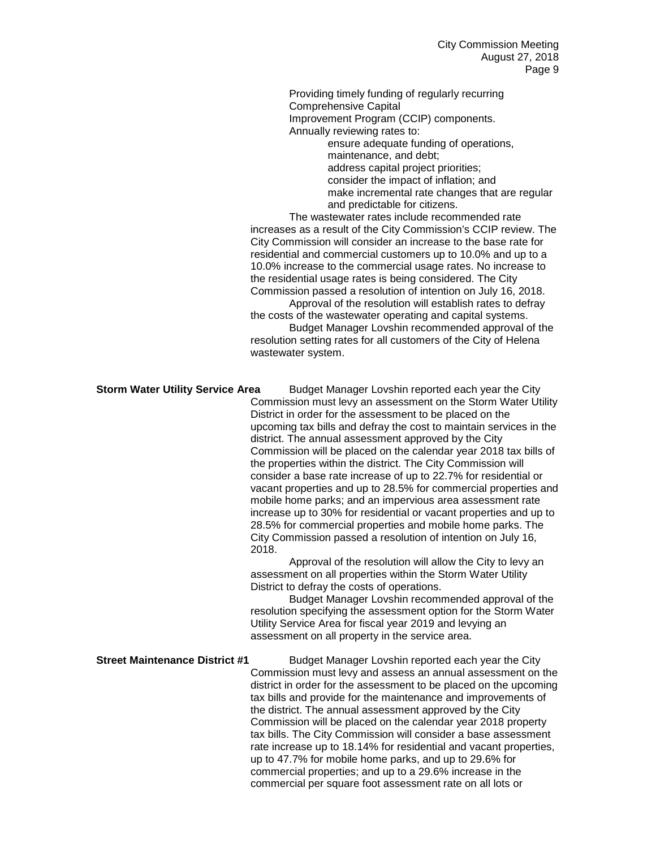Providing timely funding of regularly recurring Comprehensive Capital Improvement Program (CCIP) components. Annually reviewing rates to: ensure adequate funding of operations,

maintenance, and debt; address capital project priorities; consider the impact of inflation; and make incremental rate changes that are regular and predictable for citizens.

The wastewater rates include recommended rate increases as a result of the City Commission's CCIP review. The City Commission will consider an increase to the base rate for residential and commercial customers up to 10.0% and up to a 10.0% increase to the commercial usage rates. No increase to the residential usage rates is being considered. The City Commission passed a resolution of intention on July 16, 2018.

Approval of the resolution will establish rates to defray the costs of the wastewater operating and capital systems. Budget Manager Lovshin recommended approval of the resolution setting rates for all customers of the City of Helena wastewater system.

### **Storm Water Utility Service Area** Budget Manager Lovshin reported each year the City

Commission must levy an assessment on the Storm Water Utility District in order for the assessment to be placed on the upcoming tax bills and defray the cost to maintain services in the district. The annual assessment approved by the City Commission will be placed on the calendar year 2018 tax bills of the properties within the district. The City Commission will consider a base rate increase of up to 22.7% for residential or vacant properties and up to 28.5% for commercial properties and mobile home parks; and an impervious area assessment rate increase up to 30% for residential or vacant properties and up to 28.5% for commercial properties and mobile home parks. The City Commission passed a resolution of intention on July 16, 2018.

Approval of the resolution will allow the City to levy an assessment on all properties within the Storm Water Utility District to defray the costs of operations.

Budget Manager Lovshin recommended approval of the resolution specifying the assessment option for the Storm Water Utility Service Area for fiscal year 2019 and levying an assessment on all property in the service area.

**Street Maintenance District #1** Budget Manager Lovshin reported each year the City Commission must levy and assess an annual assessment on the district in order for the assessment to be placed on the upcoming tax bills and provide for the maintenance and improvements of the district. The annual assessment approved by the City Commission will be placed on the calendar year 2018 property tax bills. The City Commission will consider a base assessment rate increase up to 18.14% for residential and vacant properties, up to 47.7% for mobile home parks, and up to 29.6% for commercial properties; and up to a 29.6% increase in the commercial per square foot assessment rate on all lots or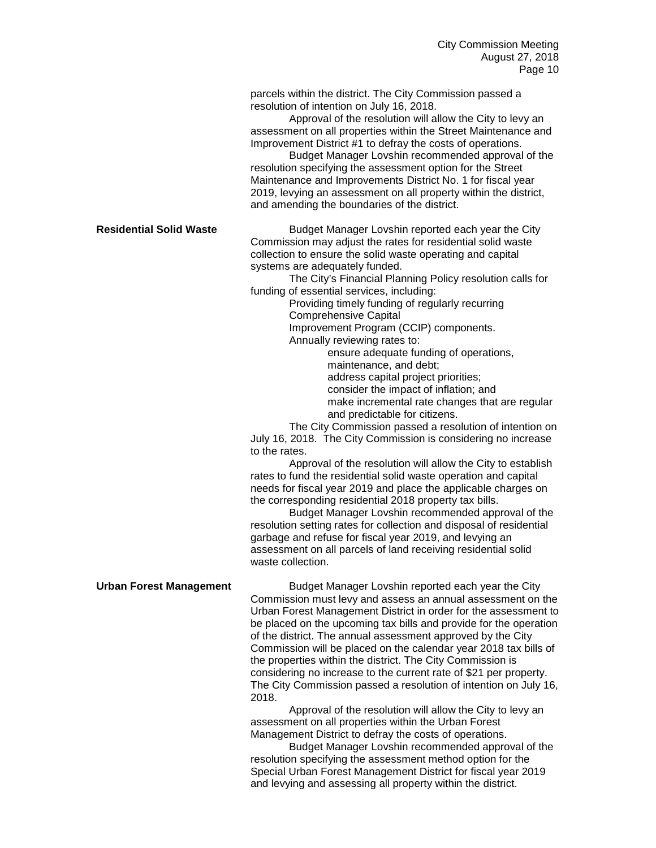parcels within the district. The City Commission passed a resolution of intention on July 16, 2018.

Approval of the resolution will allow the City to levy an assessment on all properties within the Street Maintenance and Improvement District #1 to defray the costs of operations.

Budget Manager Lovshin recommended approval of the resolution specifying the assessment option for the Street Maintenance and Improvements District No. 1 for fiscal year 2019, levying an assessment on all property within the district, and amending the boundaries of the district.

**Residential Solid Waste Budget Manager Lovshin reported each year the City** Commission may adjust the rates for residential solid waste collection to ensure the solid waste operating and capital systems are adequately funded.

The City's Financial Planning Policy resolution calls for funding of essential services, including:

> Providing timely funding of regularly recurring Comprehensive Capital

Improvement Program (CCIP) components.

Annually reviewing rates to:

ensure adequate funding of operations, maintenance, and debt; address capital project priorities;

consider the impact of inflation; and make incremental rate changes that are regular and predictable for citizens.

The City Commission passed a resolution of intention on July 16, 2018. The City Commission is considering no increase to the rates.

Approval of the resolution will allow the City to establish rates to fund the residential solid waste operation and capital needs for fiscal year 2019 and place the applicable charges on the corresponding residential 2018 property tax bills.

Budget Manager Lovshin recommended approval of the resolution setting rates for collection and disposal of residential garbage and refuse for fiscal year 2019, and levying an assessment on all parcels of land receiving residential solid waste collection.

**Urban Forest Management** Budget Manager Lovshin reported each year the City Commission must levy and assess an annual assessment on the Urban Forest Management District in order for the assessment to be placed on the upcoming tax bills and provide for the operation of the district. The annual assessment approved by the City Commission will be placed on the calendar year 2018 tax bills of the properties within the district. The City Commission is considering no increase to the current rate of \$21 per property. The City Commission passed a resolution of intention on July 16, 2018.

Approval of the resolution will allow the City to levy an assessment on all properties within the Urban Forest Management District to defray the costs of operations.

Budget Manager Lovshin recommended approval of the resolution specifying the assessment method option for the Special Urban Forest Management District for fiscal year 2019 and levying and assessing all property within the district.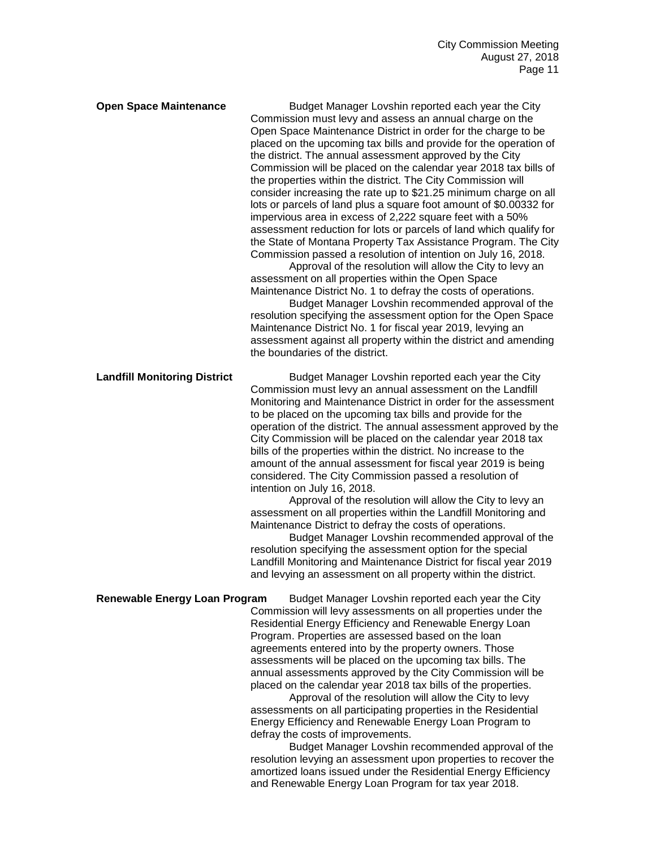**Open Space Maintenance** Budget Manager Lovshin reported each year the City Commission must levy and assess an annual charge on the Open Space Maintenance District in order for the charge to be placed on the upcoming tax bills and provide for the operation of the district. The annual assessment approved by the City Commission will be placed on the calendar year 2018 tax bills of the properties within the district. The City Commission will consider increasing the rate up to \$21.25 minimum charge on all lots or parcels of land plus a square foot amount of \$0.00332 for impervious area in excess of 2,222 square feet with a 50% assessment reduction for lots or parcels of land which qualify for the State of Montana Property Tax Assistance Program. The City Commission passed a resolution of intention on July 16, 2018.

Approval of the resolution will allow the City to levy an assessment on all properties within the Open Space Maintenance District No. 1 to defray the costs of operations.

Budget Manager Lovshin recommended approval of the resolution specifying the assessment option for the Open Space Maintenance District No. 1 for fiscal year 2019, levying an assessment against all property within the district and amending the boundaries of the district.

**Landfill Monitoring District** Budget Manager Lovshin reported each year the City Commission must levy an annual assessment on the Landfill Monitoring and Maintenance District in order for the assessment to be placed on the upcoming tax bills and provide for the operation of the district. The annual assessment approved by the City Commission will be placed on the calendar year 2018 tax bills of the properties within the district. No increase to the amount of the annual assessment for fiscal year 2019 is being considered. The City Commission passed a resolution of intention on July 16, 2018.

Approval of the resolution will allow the City to levy an assessment on all properties within the Landfill Monitoring and Maintenance District to defray the costs of operations.

Budget Manager Lovshin recommended approval of the resolution specifying the assessment option for the special Landfill Monitoring and Maintenance District for fiscal year 2019 and levying an assessment on all property within the district.

**Renewable Energy Loan Program** Budget Manager Lovshin reported each year the City Commission will levy assessments on all properties under the Residential Energy Efficiency and Renewable Energy Loan Program. Properties are assessed based on the loan agreements entered into by the property owners. Those assessments will be placed on the upcoming tax bills. The annual assessments approved by the City Commission will be placed on the calendar year 2018 tax bills of the properties.

> Approval of the resolution will allow the City to levy assessments on all participating properties in the Residential Energy Efficiency and Renewable Energy Loan Program to defray the costs of improvements.

Budget Manager Lovshin recommended approval of the resolution levying an assessment upon properties to recover the amortized loans issued under the Residential Energy Efficiency and Renewable Energy Loan Program for tax year 2018.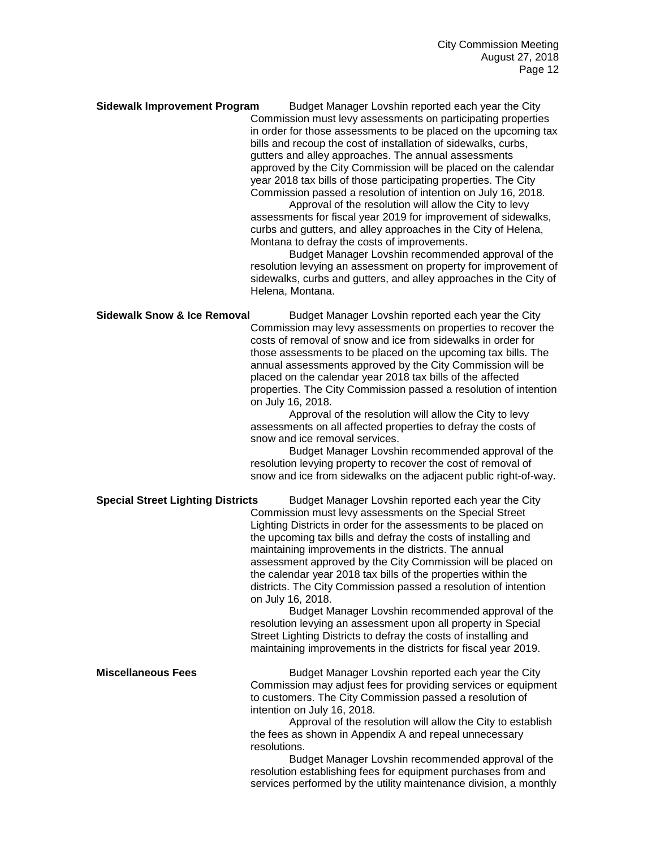**Sidewalk Improvement Program** Budget Manager Lovshin reported each year the City Commission must levy assessments on participating properties in order for those assessments to be placed on the upcoming tax bills and recoup the cost of installation of sidewalks, curbs, gutters and alley approaches. The annual assessments approved by the City Commission will be placed on the calendar year 2018 tax bills of those participating properties. The City Commission passed a resolution of intention on July 16, 2018.

> Approval of the resolution will allow the City to levy assessments for fiscal year 2019 for improvement of sidewalks, curbs and gutters, and alley approaches in the City of Helena, Montana to defray the costs of improvements.

Budget Manager Lovshin recommended approval of the resolution levying an assessment on property for improvement of sidewalks, curbs and gutters, and alley approaches in the City of Helena, Montana.

# **Sidewalk Snow & Ice Removal** Budget Manager Lovshin reported each year the City Commission may levy assessments on properties to recover the costs of removal of snow and ice from sidewalks in order for those assessments to be placed on the upcoming tax bills. The annual assessments approved by the City Commission will be placed on the calendar year 2018 tax bills of the affected properties. The City Commission passed a resolution of intention on July 16, 2018. Approval of the resolution will allow the City to levy assessments on all affected properties to defray the costs of snow and ice removal services. Budget Manager Lovshin recommended approval of the resolution levying property to recover the cost of removal of snow and ice from sidewalks on the adjacent public right-of-way. **Special Street Lighting Districts** Budget Manager Lovshin reported each year the City Commission must levy assessments on the Special Street Lighting Districts in order for the assessments to be placed on the upcoming tax bills and defray the costs of installing and maintaining improvements in the districts. The annual

assessment approved by the City Commission will be placed on the calendar year 2018 tax bills of the properties within the districts. The City Commission passed a resolution of intention on July 16, 2018.

Budget Manager Lovshin recommended approval of the resolution levying an assessment upon all property in Special Street Lighting Districts to defray the costs of installing and maintaining improvements in the districts for fiscal year 2019.

**Miscellaneous Fees** Budget Manager Lovshin reported each year the City Commission may adjust fees for providing services or equipment to customers. The City Commission passed a resolution of intention on July 16, 2018.

Approval of the resolution will allow the City to establish the fees as shown in Appendix A and repeal unnecessary resolutions.

Budget Manager Lovshin recommended approval of the resolution establishing fees for equipment purchases from and services performed by the utility maintenance division, a monthly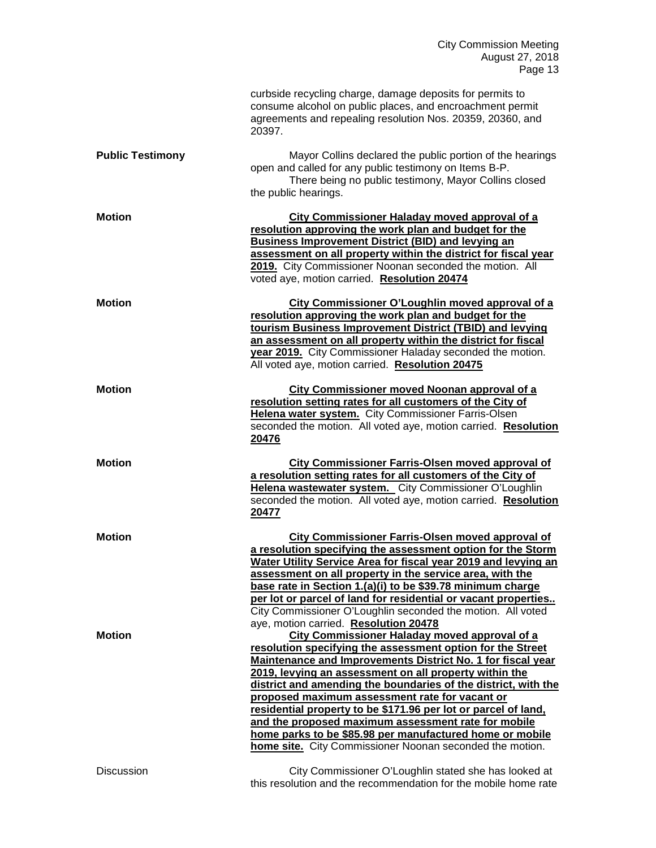|                         | curbside recycling charge, damage deposits for permits to<br>consume alcohol on public places, and encroachment permit<br>agreements and repealing resolution Nos. 20359, 20360, and<br>20397.                                                                                                                                                                                                                                                                                                                                                                                                                   |
|-------------------------|------------------------------------------------------------------------------------------------------------------------------------------------------------------------------------------------------------------------------------------------------------------------------------------------------------------------------------------------------------------------------------------------------------------------------------------------------------------------------------------------------------------------------------------------------------------------------------------------------------------|
| <b>Public Testimony</b> | Mayor Collins declared the public portion of the hearings<br>open and called for any public testimony on Items B-P.<br>There being no public testimony, Mayor Collins closed<br>the public hearings.                                                                                                                                                                                                                                                                                                                                                                                                             |
| <b>Motion</b>           | <b>City Commissioner Haladay moved approval of a</b><br>resolution approving the work plan and budget for the<br>Business Improvement District (BID) and levying an<br>assessment on all property within the district for fiscal year<br>2019. City Commissioner Noonan seconded the motion. All<br>voted aye, motion carried. Resolution 20474                                                                                                                                                                                                                                                                  |
| <b>Motion</b>           | City Commissioner O'Loughlin moved approval of a<br>resolution approving the work plan and budget for the<br>tourism Business Improvement District (TBID) and levying<br>an assessment on all property within the district for fiscal<br>year 2019. City Commissioner Haladay seconded the motion.<br>All voted aye, motion carried. Resolution 20475                                                                                                                                                                                                                                                            |
| <b>Motion</b>           | <b>City Commissioner moved Noonan approval of a</b><br>resolution setting rates for all customers of the City of<br>Helena water system. City Commissioner Farris-Olsen<br>seconded the motion. All voted aye, motion carried. Resolution<br>20476                                                                                                                                                                                                                                                                                                                                                               |
| <b>Motion</b>           | <b>City Commissioner Farris-Olsen moved approval of</b><br>a resolution setting rates for all customers of the City of<br>Helena wastewater system. City Commissioner O'Loughlin<br>seconded the motion. All voted aye, motion carried. Resolution<br>20477                                                                                                                                                                                                                                                                                                                                                      |
| <b>Motion</b>           | City Commissioner Farris-Olsen moved approval of<br>a resolution specifying the assessment option for the Storm<br>Water Utility Service Area for fiscal year 2019 and levying an<br>assessment on all property in the service area, with the<br>base rate in Section 1.(a)(i) to be \$39.78 minimum charge<br>per lot or parcel of land for residential or vacant properties<br>City Commissioner O'Loughlin seconded the motion. All voted<br>aye, motion carried. Resolution 20478                                                                                                                            |
| Motion                  | <b>City Commissioner Haladay moved approval of a</b><br>resolution specifying the assessment option for the Street<br>Maintenance and Improvements District No. 1 for fiscal year<br>2019, levying an assessment on all property within the<br>district and amending the boundaries of the district, with the<br>proposed maximum assessment rate for vacant or<br>residential property to be \$171.96 per lot or parcel of land,<br>and the proposed maximum assessment rate for mobile<br>home parks to be \$85.98 per manufactured home or mobile<br>home site. City Commissioner Noonan seconded the motion. |
| <b>Discussion</b>       | City Commissioner O'Loughlin stated she has looked at<br>this resolution and the recommendation for the mobile home rate                                                                                                                                                                                                                                                                                                                                                                                                                                                                                         |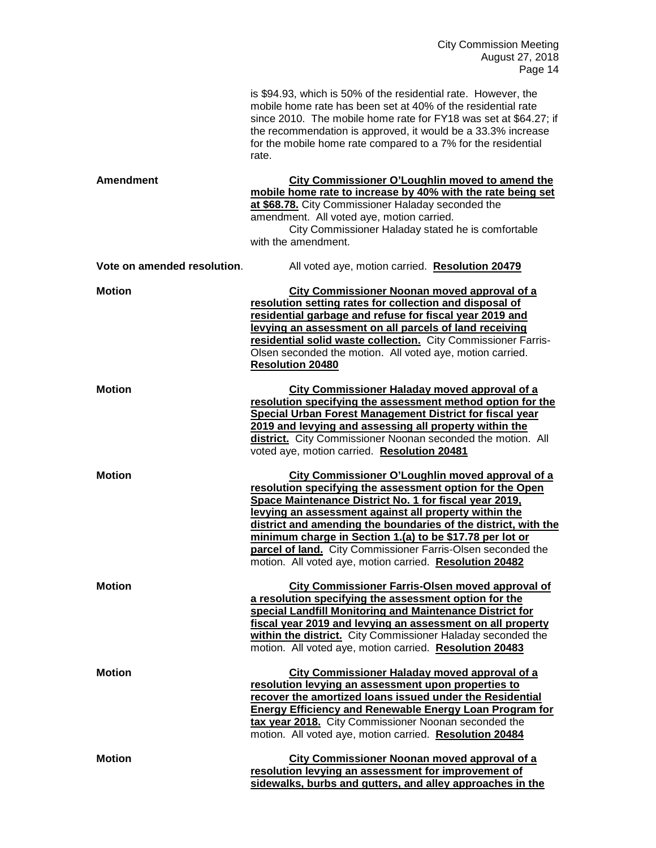City Commission Meeting August 27, 2018 Page 14

|                             | is \$94.93, which is 50% of the residential rate. However, the<br>mobile home rate has been set at 40% of the residential rate<br>since 2010. The mobile home rate for FY18 was set at \$64.27; if<br>the recommendation is approved, it would be a 33.3% increase<br>for the mobile home rate compared to a 7% for the residential<br>rate.                                                                                                                                            |
|-----------------------------|-----------------------------------------------------------------------------------------------------------------------------------------------------------------------------------------------------------------------------------------------------------------------------------------------------------------------------------------------------------------------------------------------------------------------------------------------------------------------------------------|
| Amendment                   | City Commissioner O'Loughlin moved to amend the<br>mobile home rate to increase by 40% with the rate being set<br>at \$68.78. City Commissioner Haladay seconded the<br>amendment. All voted aye, motion carried.<br>City Commissioner Haladay stated he is comfortable<br>with the amendment.                                                                                                                                                                                          |
| Vote on amended resolution. | All voted aye, motion carried. Resolution 20479                                                                                                                                                                                                                                                                                                                                                                                                                                         |
| <b>Motion</b>               | <b>City Commissioner Noonan moved approval of a</b><br>resolution setting rates for collection and disposal of<br>residential garbage and refuse for fiscal year 2019 and<br>levying an assessment on all parcels of land receiving<br>residential solid waste collection. City Commissioner Farris-<br>Olsen seconded the motion. All voted aye, motion carried.<br><b>Resolution 20480</b>                                                                                            |
| <b>Motion</b>               | <b>City Commissioner Haladay moved approval of a</b><br>resolution specifying the assessment method option for the<br><b>Special Urban Forest Management District for fiscal year</b><br>2019 and levying and assessing all property within the<br>district. City Commissioner Noonan seconded the motion. All<br>voted aye, motion carried. Resolution 20481                                                                                                                           |
| <b>Motion</b>               | City Commissioner O'Loughlin moved approval of a<br>resolution specifying the assessment option for the Open<br>Space Maintenance District No. 1 for fiscal year 2019,<br>levying an assessment against all property within the<br>district and amending the boundaries of the district, with the<br>minimum charge in Section 1.(a) to be \$17.78 per lot or<br>parcel of land. City Commissioner Farris-Olsen seconded the<br>motion. All voted aye, motion carried. Resolution 20482 |
| <b>Motion</b>               | City Commissioner Farris-Olsen moved approval of<br>a resolution specifying the assessment option for the<br>special Landfill Monitoring and Maintenance District for<br>fiscal year 2019 and levying an assessment on all property<br>within the district. City Commissioner Haladay seconded the<br>motion. All voted aye, motion carried. Resolution 20483                                                                                                                           |
| <b>Motion</b>               | <b>City Commissioner Haladay moved approval of a</b><br>resolution levying an assessment upon properties to<br>recover the amortized loans issued under the Residential<br><b>Energy Efficiency and Renewable Energy Loan Program for</b><br>tax year 2018. City Commissioner Noonan seconded the<br>motion. All voted aye, motion carried. Resolution 20484                                                                                                                            |
| <b>Motion</b>               | <b>City Commissioner Noonan moved approval of a</b><br>resolution levying an assessment for improvement of<br>sidewalks, burbs and gutters, and alley approaches in the                                                                                                                                                                                                                                                                                                                 |